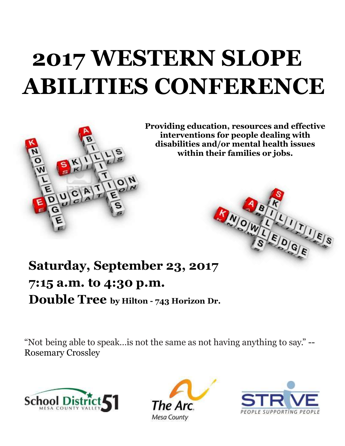# **WESTERN SLOPE 2017 WESTERN SLOPE ABILITIES CONFERENCE**



 **disabilities and/or mental health issues Providing education, resources and effective interventions for people dealing with within their families or jobs.**

# NOW!

# **Saturday, September 23, 2017 7:15 a.m. to 4:30 p.m. Double Tree by Hilton - 743 Horizon Dr.**

"Not being able to speak…is not the same as not having anything to say." -- Rosemary Crossley





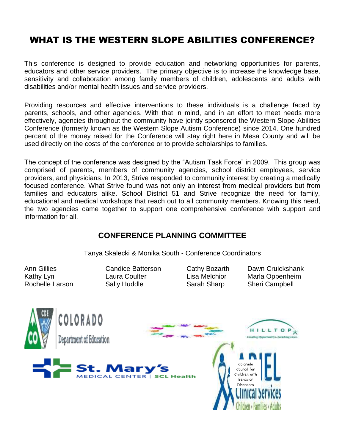## WHAT IS THE WESTERN SLOPE ABILITIES CONFERENCE?

This conference is designed to provide education and networking opportunities for parents, educators and other service providers. The primary objective is to increase the knowledge base, sensitivity and collaboration among family members of children, adolescents and adults with disabilities and/or mental health issues and service providers.

Providing resources and effective interventions to these individuals is a challenge faced by parents, schools, and other agencies. With that in mind, and in an effort to meet needs more effectively, agencies throughout the community have jointly sponsored the Western Slope Abilities Conference (formerly known as the Western Slope Autism Conference) since 2014. One hundred percent of the money raised for the Conference will stay right here in Mesa County and will be used directly on the costs of the conference or to provide scholarships to families.

The concept of the conference was designed by the "Autism Task Force" in 2009. This group was comprised of parents, members of community agencies, school district employees, service providers, and physicians. In 2013, Strive responded to community interest by creating a medically focused conference. What Strive found was not only an interest from medical providers but from families and educators alike. School District 51 and Strive recognize the need for family, educational and medical workshops that reach out to all community members. Knowing this need, the two agencies came together to support one comprehensive conference with support and information for all.

#### **CONFERENCE PLANNING COMMITTEE**

Tanya Skalecki & Monika South - Conference Coordinators

- Rochelle Larson Sally Huddle Sarah Sharp Sheri Campbell
	-
- Ann Gillies Candice Batterson Cathy Bozarth Dawn Cruickshank Kathy Lyn Laura Coulter Lisa Melchior Marla Oppenheim

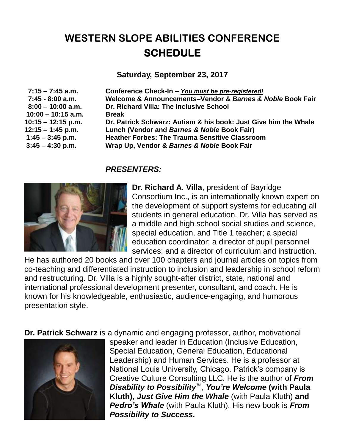# **WESTERN SLOPE ABILITIES CONFERENCE SCHEDULE**

**Saturday, September 23, 2017**

**10:00 – 10:15 a.m. Break**

 **7:15 – 7:45 a.m. Conference Check-In –** *You must be pre-registered!*  **7:45 - 8:00 a.m. Welcome & Announcements–Vendor &** *Barnes & Noble* **Book Fair 8:00 – 10:00 a.m. Dr. Richard Villa: The Inclusive School 10:15 – 12:15 p.m. Dr. Patrick Schwarz: Autism & his book: Just Give him the Whale 12:15 – 1:45 p.m. Lunch (Vendor and** *Barnes & Noble* **Book Fair) 1:45 – 3:45 p.m. Heather Forbes: The Trauma Sensitive Classroom 3:45 – 4:30 p.m. Wrap Up, Vendor &** *Barnes & Noble* **Book Fair**

#### *PRESENTERS:*



**Dr. Richard A. Villa**, president of Bayridge Consortium Inc., is an internationally known expert on the development of support systems for educating all students in general education. Dr. Villa has served as a middle and high school social studies and science, special education, and Title 1 teacher; a special education coordinator; a director of pupil personnel services; and a director of curriculum and instruction.

He has authored 20 books and over 100 chapters and journal articles on topics from co-teaching and differentiated instruction to inclusion and leadership in school reform and restructuring. Dr. Villa is a highly sought-after district, state, national and international professional development presenter, consultant, and coach. He is known for his knowledgeable, enthusiastic, audience-engaging, and humorous presentation style.

**Dr. Patrick Schwarz** is a dynamic and engaging professor, author, motivational



speaker and leader in Education (Inclusive Education, Special Education, General Education, Educational Leadership) and Human Services. He is a professor at National Louis University, Chicago. Patrick's company is Creative Culture Consulting LLC. He is the author of *From Disability to Possibility*™, *You're Welcome* **(with Paula Kluth),** *Just Give Him the Whale* (with Paula Kluth) **and**  *Pedro's Whale* (with Paula Kluth). His new book is *From Possibility to Success.*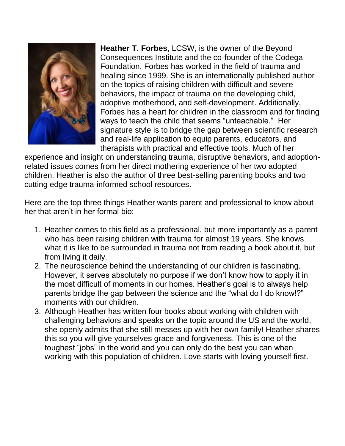

**Heather T. Forbes**, LCSW, is the owner of the Beyond Consequences Institute and the co-founder of the Codega Foundation. Forbes has worked in the field of trauma and healing since 1999. She is an internationally published author on the topics of raising children with difficult and severe behaviors, the impact of trauma on the developing child, adoptive motherhood, and self-development. Additionally, Forbes has a heart for children in the classroom and for finding ways to teach the child that seems "unteachable." Her signature style is to bridge the gap between scientific research and real-life application to equip parents, educators, and therapists with practical and effective tools. Much of her

experience and insight on understanding trauma, disruptive behaviors, and adoptionrelated issues comes from her direct mothering experience of her two adopted children. Heather is also the author of three best-selling parenting books and two cutting edge trauma-informed school resources.

Here are the top three things Heather wants parent and professional to know about her that aren't in her formal bio:

- 1. Heather comes to this field as a professional, but more importantly as a parent who has been raising children with trauma for almost 19 years. She knows what it is like to be surrounded in trauma not from reading a book about it, but from living it daily.
- 2. The neuroscience behind the understanding of our children is fascinating. However, it serves absolutely no purpose if we don't know how to apply it in the most difficult of moments in our homes. Heather's goal is to always help parents bridge the gap between the science and the "what do I do know!?" moments with our children.
- 3. Although Heather has written four books about working with children with challenging behaviors and speaks on the topic around the US and the world, she openly admits that she still messes up with her own family! Heather shares this so you will give yourselves grace and forgiveness. This is one of the toughest "jobs" in the world and you can only do the best you can when working with this population of children. Love starts with loving yourself first.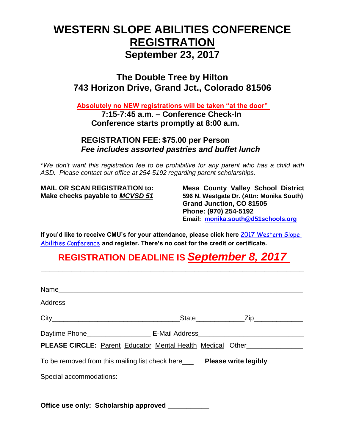# **WESTERN SLOPE ABILITIES CONFERENCE REGISTRATION September 23, 2017**

#### **The Double Tree by Hilton 743 Horizon Drive, Grand Jct., Colorado 81506**

**Absolutely no NEW registrations will be taken "at the door"** 

**7:15-7:45 a.m. – Conference Check-In Conference starts promptly at 8:00 a.m.**

#### **REGISTRATION FEE: \$75.00 per Person**  *Fee includes assorted pastries and buffet lunch*

\**We don't want this registration fee to be prohibitive for any parent who has a child with ASD. Please contact our office at 254-5192 regarding parent scholarships.*

**MAIL OR SCAN REGISTRATION to: Mesa County Valley School District Make checks payable to** *MCVSD 51* **596 N. Westgate Dr. (Attn: Monika South) Grand Junction, CO 81505 Phone: (970) 254-5192 Email: [monika.south@d51schools.org](mailto:monika.south@d51schools.org)**

**If you'd like to receive CMU's for your attendance, please click here** [2017 Western Slope](http://www.mesa.k12.co.us/training/course.cfm?classnum=1971)  [Abilities Conference](http://www.mesa.k12.co.us/training/course.cfm?classnum=1971) **and register. There's no cost for the credit or certificate.**

## **REGISTRATION DEADLINE IS** *September 8, 2017*

**\_\_\_\_\_\_\_\_\_\_\_\_\_\_\_\_\_\_\_\_\_\_\_\_\_\_\_\_\_\_\_\_\_\_\_\_\_\_\_\_\_\_\_\_\_\_\_\_\_\_\_\_\_\_\_\_\_\_\_\_**

| _State_______________Zip_____________                                     |
|---------------------------------------------------------------------------|
|                                                                           |
| PLEASE CIRCLE: Parent Educator Mental Health Medical Other_______________ |
| To be removed from this mailing list check here____ Please write legibly  |
|                                                                           |

**Office use only: Scholarship approved \_\_\_\_\_\_\_\_\_\_\_**